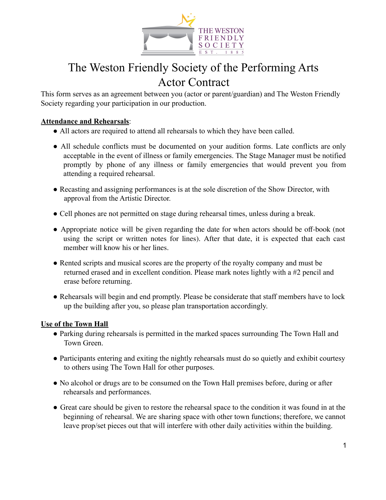

# The Weston Friendly Society of the Performing Arts Actor Contract

This form serves as an agreement between you (actor or parent/guardian) and The Weston Friendly Society regarding your participation in our production.

### **Attendance and Rehearsals**:

- All actors are required to attend all rehearsals to which they have been called.
- All schedule conflicts must be documented on your audition forms. Late conflicts are only acceptable in the event of illness or family emergencies. The Stage Manager must be notified promptly by phone of any illness or family emergencies that would prevent you from attending a required rehearsal.
- Recasting and assigning performances is at the sole discretion of the Show Director, with approval from the Artistic Director.
- Cell phones are not permitted on stage during rehearsal times, unless during a break.
- Appropriate notice will be given regarding the date for when actors should be off-book (not using the script or written notes for lines). After that date, it is expected that each cast member will know his or her lines.
- Rented scripts and musical scores are the property of the royalty company and must be returned erased and in excellent condition. Please mark notes lightly with a #2 pencil and erase before returning.
- Rehearsals will begin and end promptly. Please be considerate that staff members have to lock up the building after you, so please plan transportation accordingly.

#### **Use of the Town Hall**

- Parking during rehearsals is permitted in the marked spaces surrounding The Town Hall and Town Green.
- Participants entering and exiting the nightly rehearsals must do so quietly and exhibit courtesy to others using The Town Hall for other purposes.
- No alcohol or drugs are to be consumed on the Town Hall premises before, during or after rehearsals and performances.
- Great care should be given to restore the rehearsal space to the condition it was found in at the beginning of rehearsal. We are sharing space with other town functions; therefore, we cannot leave prop/set pieces out that will interfere with other daily activities within the building.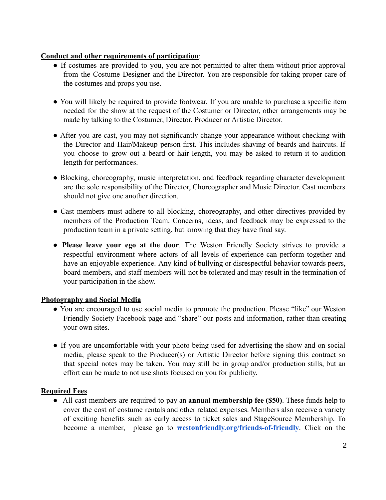#### **Conduct and other requirements of participation**:

- If costumes are provided to you, you are not permitted to alter them without prior approval from the Costume Designer and the Director. You are responsible for taking proper care of the costumes and props you use.
- You will likely be required to provide footwear. If you are unable to purchase a specific item needed for the show at the request of the Costumer or Director, other arrangements may be made by talking to the Costumer, Director, Producer or Artistic Director.
- After you are cast, you may not significantly change your appearance without checking with the Director and Hair/Makeup person first. This includes shaving of beards and haircuts. If you choose to grow out a beard or hair length, you may be asked to return it to audition length for performances.
- Blocking, choreography, music interpretation, and feedback regarding character development are the sole responsibility of the Director, Choreographer and Music Director. Cast members should not give one another direction.
- Cast members must adhere to all blocking, choreography, and other directives provided by members of the Production Team. Concerns, ideas, and feedback may be expressed to the production team in a private setting, but knowing that they have final say.
- **Please leave your ego at the door**. The Weston Friendly Society strives to provide a respectful environment where actors of all levels of experience can perform together and have an enjoyable experience. Any kind of bullying or disrespectful behavior towards peers, board members, and staff members will not be tolerated and may result in the termination of your participation in the show.

#### **Photography and Social Media**

- You are encouraged to use social media to promote the production. Please "like" our Weston Friendly Society Facebook page and "share" our posts and information, rather than creating your own sites.
- If you are uncomfortable with your photo being used for advertising the show and on social media, please speak to the Producer(s) or Artistic Director before signing this contract so that special notes may be taken. You may still be in group and/or production stills, but an effort can be made to not use shots focused on you for publicity.

#### **Required Fees**

● All cast members are required to pay an **annual membership fee (\$50)**. These funds help to cover the cost of costume rentals and other related expenses. Members also receive a variety of exciting benefits such as early access to ticket sales and StageSource Membership. To become a member, please go to **[westonfriendly.org/friends-of-friendly](http://www.westonfriendly.org/friends-of-friendly.html)**. Click on the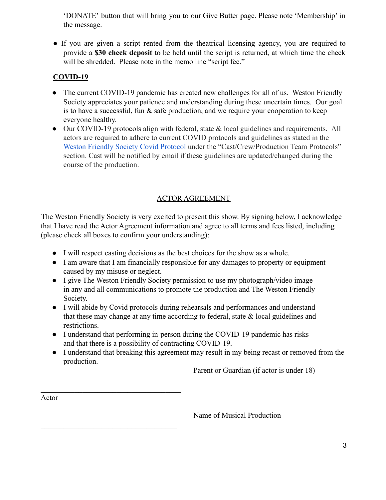'DONATE' button that will bring you to our Give Butter page. Please note 'Membership' in the message.

● If you are given a script rented from the theatrical licensing agency, you are required to provide a **\$30 check deposit** to be held until the script is returned, at which time the check will be shredded. Please note in the memo line "script fee."

## **COVID-19**

- The current COVID-19 pandemic has created new challenges for all of us. Weston Friendly Society appreciates your patience and understanding during these uncertain times. Our goal is to have a successful, fun & safe production, and we require your cooperation to keep everyone healthy.
- Our COVID-19 protocols align with federal, state & local guidelines and requirements. All actors are required to adhere to current COVID protocols and guidelines as stated in the [Weston Friendly Society Covid Protocol](https://docs.google.com/document/d/1Ecd61b2kRk8EMoqnplZYCooB8g-_wms-x11_Ve5qx1g/edit?usp=sharing) under the "Cast/Crew/Production Team Protocols" section. Cast will be notified by email if these guidelines are updated/changed during the course of the production.

---------------------------------------------------------------------------------------------------

## ACTOR AGREEMENT

The Weston Friendly Society is very excited to present this show. By signing below, I acknowledge that I have read the Actor Agreement information and agree to all terms and fees listed, including (please check all boxes to confirm your understanding):

- I will respect casting decisions as the best choices for the show as a whole.
- I am aware that I am financially responsible for any damages to property or equipment caused by my misuse or neglect.
- I give The Weston Friendly Society permission to use my photograph/video image in any and all communications to promote the production and The Weston Friendly Society.
- I will abide by Covid protocols during rehearsals and performances and understand that these may change at any time according to federal, state  $\&$  local guidelines and restrictions.
- I understand that performing in-person during the COVID-19 pandemic has risks and that there is a possibility of contracting COVID-19.
- I understand that breaking this agreement may result in my being recast or removed from the production.

Parent or Guardian (if actor is under 18)

Actor

 $\mathcal{L}_\text{max}$ 

 $\mathcal{L}_\text{max}$ 

Name of Musical Production

 $\mathcal{L}_\text{max}$